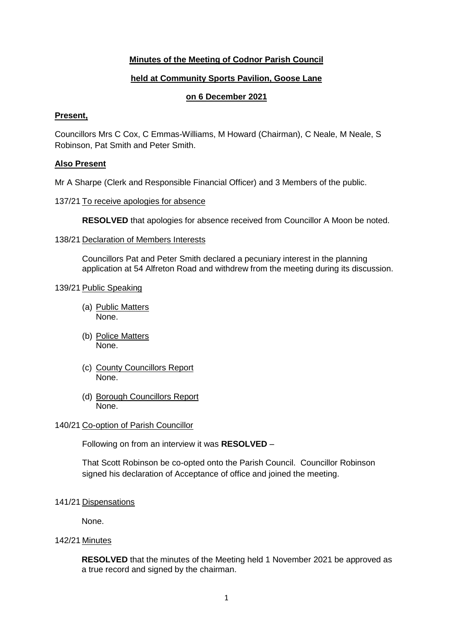# **Minutes of the Meeting of Codnor Parish Council**

# **held at Community Sports Pavilion, Goose Lane**

## **on 6 December 2021**

## **Present,**

Councillors Mrs C Cox, C Emmas-Williams, M Howard (Chairman), C Neale, M Neale, S Robinson, Pat Smith and Peter Smith.

## **Also Present**

Mr A Sharpe (Clerk and Responsible Financial Officer) and 3 Members of the public.

## 137/21 To receive apologies for absence

**RESOLVED** that apologies for absence received from Councillor A Moon be noted.

#### 138/21 Declaration of Members Interests

Councillors Pat and Peter Smith declared a pecuniary interest in the planning application at 54 Alfreton Road and withdrew from the meeting during its discussion.

## 139/21 Public Speaking

- (a) Public Matters None.
- (b) Police Matters None.
- (c) County Councillors Report None.
- (d) Borough Councillors Report None.

#### 140/21 Co-option of Parish Councillor

Following on from an interview it was **RESOLVED** –

That Scott Robinson be co-opted onto the Parish Council. Councillor Robinson signed his declaration of Acceptance of office and joined the meeting.

#### 141/21 Dispensations

None.

## 142/21 Minutes

**RESOLVED** that the minutes of the Meeting held 1 November 2021 be approved as a true record and signed by the chairman.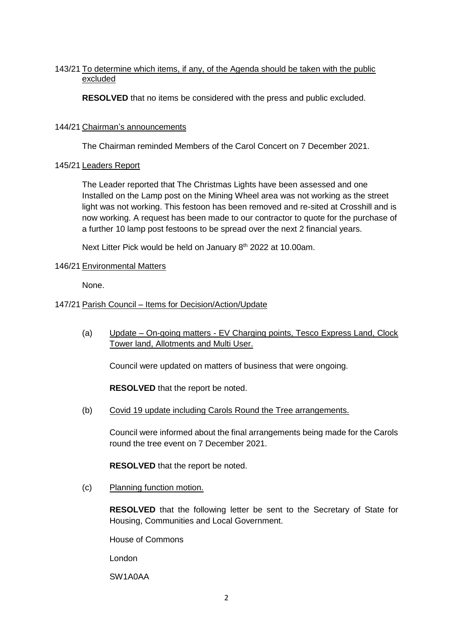# 143/21 To determine which items, if any, of the Agenda should be taken with the public excluded

**RESOLVED** that no items be considered with the press and public excluded.

## 144/21 Chairman's announcements

The Chairman reminded Members of the Carol Concert on 7 December 2021.

# 145/21 Leaders Report

The Leader reported that The Christmas Lights have been assessed and one Installed on the Lamp post on the Mining Wheel area was not working as the street light was not working. This festoon has been removed and re-sited at Crosshill and is now working. A request has been made to our contractor to quote for the purchase of a further 10 lamp post festoons to be spread over the next 2 financial years.

Next Litter Pick would be held on January 8<sup>th</sup> 2022 at 10.00am.

# 146/21 Environmental Matters

None.

# 147/21 Parish Council – Items for Decision/Action/Update

(a) Update – On-going matters - EV Charging points, Tesco Express Land, Clock Tower land, Allotments and Multi User.

Council were updated on matters of business that were ongoing.

**RESOLVED** that the report be noted.

(b) Covid 19 update including Carols Round the Tree arrangements.

Council were informed about the final arrangements being made for the Carols round the tree event on 7 December 2021.

**RESOLVED** that the report be noted.

(c) Planning function motion.

**RESOLVED** that the following letter be sent to the Secretary of State for Housing, Communities and Local Government.

House of Commons

London

SW1A0AA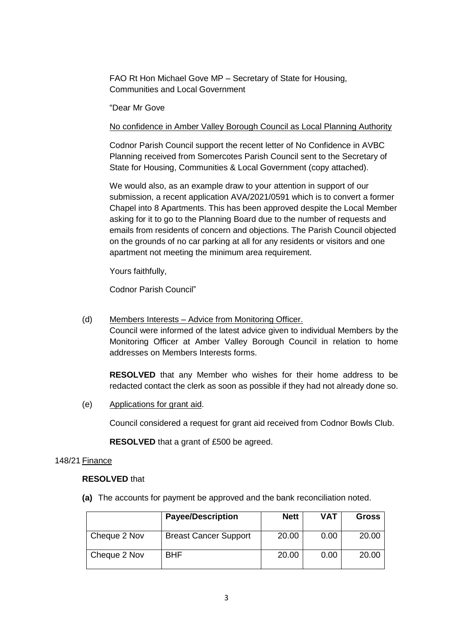FAO Rt Hon Michael Gove MP – Secretary of State for Housing, Communities and Local Government

"Dear Mr Gove

No confidence in Amber Valley Borough Council as Local Planning Authority

Codnor Parish Council support the recent letter of No Confidence in AVBC Planning received from Somercotes Parish Council sent to the Secretary of State for Housing, Communities & Local Government (copy attached).

We would also, as an example draw to your attention in support of our submission, a recent application AVA/2021/0591 which is to convert a former Chapel into 8 Apartments. This has been approved despite the Local Member asking for it to go to the Planning Board due to the number of requests and emails from residents of concern and objections. The Parish Council objected on the grounds of no car parking at all for any residents or visitors and one apartment not meeting the minimum area requirement.

Yours faithfully,

Codnor Parish Council"

(d) Members Interests – Advice from Monitoring Officer.

Council were informed of the latest advice given to individual Members by the Monitoring Officer at Amber Valley Borough Council in relation to home addresses on Members Interests forms.

**RESOLVED** that any Member who wishes for their home address to be redacted contact the clerk as soon as possible if they had not already done so.

(e) Applications for grant aid.

Council considered a request for grant aid received from Codnor Bowls Club.

**RESOLVED** that a grant of £500 be agreed.

#### 148/21 Finance

## **RESOLVED** that

**(a)** The accounts for payment be approved and the bank reconciliation noted.

|              | <b>Payee/Description</b>     | <b>Nett</b> | <b>VAT</b> | Gross |
|--------------|------------------------------|-------------|------------|-------|
| Cheque 2 Nov | <b>Breast Cancer Support</b> | 20.00       | 0.00       | 20.00 |
| Cheque 2 Nov | <b>BHF</b>                   | 20.00       | 0.00       | 20.00 |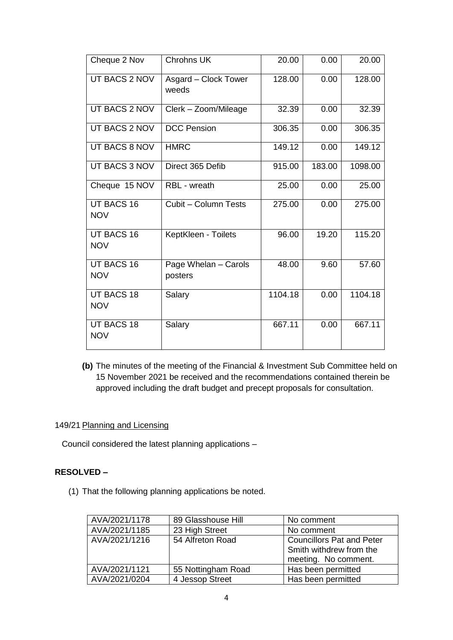| Cheque 2 Nov                    | <b>Chrohns UK</b>               | 20.00   | 0.00   | 20.00   |
|---------------------------------|---------------------------------|---------|--------|---------|
| UT BACS 2 NOV                   | Asgard - Clock Tower<br>weeds   | 128.00  | 0.00   | 128.00  |
| UT BACS 2 NOV                   | Clerk - Zoom/Mileage            | 32.39   | 0.00   | 32.39   |
| UT BACS 2 NOV                   | <b>DCC Pension</b>              | 306.35  | 0.00   | 306.35  |
| <b>UT BACS 8 NOV</b>            | <b>HMRC</b>                     | 149.12  | 0.00   | 149.12  |
| UT BACS 3 NOV                   | Direct 365 Defib                | 915.00  | 183.00 | 1098.00 |
| Cheque 15 NOV                   | RBL - wreath                    | 25.00   | 0.00   | 25.00   |
| <b>UT BACS 16</b><br><b>NOV</b> | Cubit - Column Tests            | 275.00  | 0.00   | 275.00  |
| <b>UT BACS 16</b><br><b>NOV</b> | KeptKleen - Toilets             | 96.00   | 19.20  | 115.20  |
| UT BACS 16<br><b>NOV</b>        | Page Whelan - Carols<br>posters | 48.00   | 9.60   | 57.60   |
| <b>UT BACS 18</b><br><b>NOV</b> | Salary                          | 1104.18 | 0.00   | 1104.18 |
| <b>UT BACS 18</b><br><b>NOV</b> | Salary                          | 667.11  | 0.00   | 667.11  |

**(b)** The minutes of the meeting of the Financial & Investment Sub Committee held on 15 November 2021 be received and the recommendations contained therein be approved including the draft budget and precept proposals for consultation.

## 149/21 Planning and Licensing

Council considered the latest planning applications –

# **RESOLVED –**

(1) That the following planning applications be noted.

| AVA/2021/1178 | 89 Glasshouse Hill | No comment                       |  |
|---------------|--------------------|----------------------------------|--|
| AVA/2021/1185 | 23 High Street     | No comment                       |  |
| AVA/2021/1216 | 54 Alfreton Road   | <b>Councillors Pat and Peter</b> |  |
|               |                    | Smith withdrew from the          |  |
|               |                    | meeting. No comment.             |  |
| AVA/2021/1121 | 55 Nottingham Road | Has been permitted               |  |
| AVA/2021/0204 | 4 Jessop Street    | Has been permitted               |  |